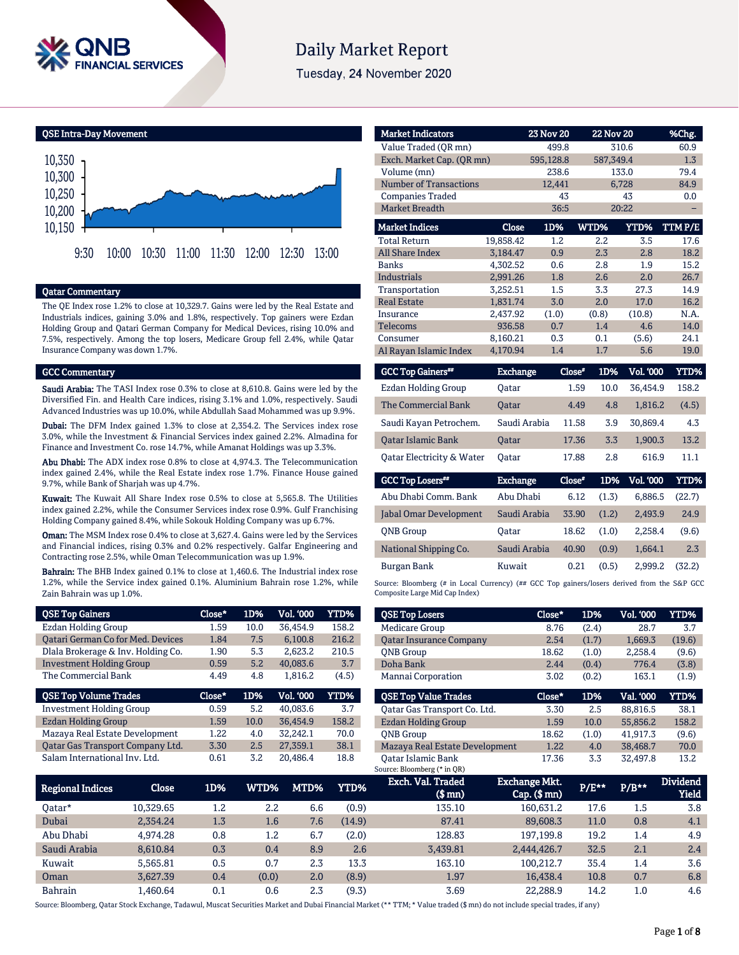

# **Daily Market Report**

Tuesday, 24 November 2020

QSE Intra-Day Movement



#### Qatar Commentary

The QE Index rose 1.2% to close at 10,329.7. Gains were led by the Real Estate and Industrials indices, gaining 3.0% and 1.8%, respectively. Top gainers were Ezdan Holding Group and Qatari German Company for Medical Devices, rising 10.0% and 7.5%, respectively. Among the top losers, Medicare Group fell 2.4%, while Qatar Insurance Company was down 1.7%.

#### GCC Commentary

Saudi Arabia: The TASI Index rose 0.3% to close at 8,610.8. Gains were led by the Diversified Fin. and Health Care indices, rising 3.1% and 1.0%, respectively. Saudi Advanced Industries was up 10.0%, while Abdullah Saad Mohammed was up 9.9%.

Dubai: The DFM Index gained 1.3% to close at 2,354.2. The Services index rose 3.0%, while the Investment & Financial Services index gained 2.2%. Almadina for Finance and Investment Co. rose 14.7%, while Amanat Holdings was up 3.3%.

Abu Dhabi: The ADX index rose 0.8% to close at 4,974.3. The Telecommunication index gained 2.4%, while the Real Estate index rose 1.7%. Finance House gained 9.7%, while Bank of Sharjah was up 4.7%.

Kuwait: The Kuwait All Share Index rose 0.5% to close at 5,565.8. The Utilities index gained 2.2%, while the Consumer Services index rose 0.9%. Gulf Franchising Holding Company gained 8.4%, while Sokouk Holding Company was up 6.7%.

Oman: The MSM Index rose 0.4% to close at 3,627.4. Gains were led by the Services and Financial indices, rising 0.3% and 0.2% respectively. Galfar Engineering and Contracting rose 2.5%, while Oman Telecommunication was up 1.9%.

Bahrain: The BHB Index gained 0.1% to close at 1,460.6. The Industrial index rose 1.2%, while the Service index gained 0.1%. Aluminium Bahrain rose 1.2%, while Zain Bahrain was up 1.0%.

| <b>QSE Top Gainers</b>             | Close* | 1D%  | Vol. '000 | <b>YTD%</b> |
|------------------------------------|--------|------|-----------|-------------|
| Ezdan Holding Group                | 1.59   | 10.0 | 36,454.9  | 158.2       |
| Qatari German Co for Med. Devices  | 1.84   | 7.5  | 6.100.8   | 216.2       |
| Dlala Brokerage & Inv. Holding Co. | 1.90   | 5.3  | 2.623.2   | 210.5       |
| <b>Investment Holding Group</b>    | 0.59   | 5.2  | 40,083.6  | 3.7         |
| The Commercial Bank                | 4.49   | 4.8  | 1,816.2   | (4.5)       |
|                                    |        |      |           |             |
| <b>QSE Top Volume Trades</b>       | Close* | 1D%  | Vol. '000 | <b>YTD%</b> |
| <b>Investment Holding Group</b>    | 0.59   | 5.2  | 40.083.6  | 3.7         |
| <b>Ezdan Holding Group</b>         | 1.59   | 10.0 | 36,454.9  | 158.2       |
| Mazaya Real Estate Development     | 1.22   | 4.0  | 32.242.1  | 70.0        |
| Oatar Gas Transport Company Ltd.   | 3.30   | 2.5  | 27,359.1  | 38.1        |

| <b>Market Indicators</b>      |           | <b>23 Nov 20</b> |       | <b>22 Nov 20</b> | %Chg.  |
|-------------------------------|-----------|------------------|-------|------------------|--------|
| Value Traded (OR mn)          |           | 499.8            |       | 310.6            | 60.9   |
| Exch. Market Cap. (OR mn)     |           | 595,128.8        |       | 587,349.4        | 1.3    |
| Volume (mn)                   |           | 238.6            |       | 133.0            | 79.4   |
| <b>Number of Transactions</b> |           | 12,441           |       | 6,728            | 84.9   |
| <b>Companies Traded</b>       |           | 43               |       | 43               | 0.0    |
| <b>Market Breadth</b>         |           | 36:5             |       | 20:22            |        |
| <b>Market Indices</b>         | Close     | 1D%              | WTD%  | <b>YTD%</b>      | TTMP/E |
| <b>Total Return</b>           | 19,858.42 | 1.2              | 2.2   | 3.5              | 17.6   |
| <b>All Share Index</b>        | 3.184.47  | 0.9              | 2.3   | 2.8              | 18.2   |
| <b>Banks</b>                  | 4,302.52  | 0.6              | 2.8   | 1.9              | 15.2   |
| <b>Industrials</b>            | 2.991.26  | 1.8              | 2.6   | 2.0              | 26.7   |
| Transportation                | 3.252.51  | 1.5              | 3.3   | 27.3             | 14.9   |
| <b>Real Estate</b>            | 1.831.74  | 3.0              | 2.0   | 17.0             | 16.2   |
| Insurance                     | 2.437.92  | (1.0)            | (0.8) | (10.8)           | N.A.   |
| <b>Telecoms</b>               | 936.58    | 0.7              | 1.4   | 4.6              | 14.0   |
| Consumer                      | 8,160.21  | 0.3              | 0.1   | (5.6)            | 24.1   |
| Al Rayan Islamic Index        | 4,170.94  | 1.4              | 1.7   | 5.6              | 19.0   |

| <b>GCC Top Gainers</b>     | Exchange     | Close* | 1D%  | <b>Vol. '000</b> | YTD%  |
|----------------------------|--------------|--------|------|------------------|-------|
| <b>Ezdan Holding Group</b> | Oatar        | 1.59   | 10.0 | 36.454.9         | 158.2 |
| The Commercial Bank        | <b>Oatar</b> | 4.49   | 4.8  | 1.816.2          | (4.5) |
| Saudi Kayan Petrochem.     | Saudi Arabia | 11.58  | 3.9  | 30.869.4         | 4.3   |
| <b>Oatar Islamic Bank</b>  | <b>Oatar</b> | 17.36  | 3.3  | 1,900.3          | 13.2  |
| Oatar Electricity & Water  | Oatar        | 17.88  | 2.8  | 616.9            | 11.1  |

| <b>GCC Top Losers**</b> | <b>Exchange</b> | Close* | 1D%   | Vol. '000 | YTD%   |
|-------------------------|-----------------|--------|-------|-----------|--------|
| Abu Dhabi Comm. Bank    | Abu Dhabi       | 6.12   | (1.3) | 6.886.5   | (22.7) |
| Jabal Omar Development  | Saudi Arabia    | 33.90  | (1.2) | 2.493.9   | 24.9   |
| <b>ONB</b> Group        | Oatar           | 18.62  | (1.0) | 2.258.4   | (9.6)  |
| National Shipping Co.   | Saudi Arabia    | 40.90  | (0.9) | 1,664.1   | 2.3    |
| <b>Burgan Bank</b>      | Kuwait          | 0.21   | (0.5) | 2.999.2   | (32.2) |

Source: Bloomberg (# in Local Currency) (## GCC Top gainers/losers derived from the S&P GCC Composite Large Mid Cap Index)

| <b>QSE Top Losers</b>          | Close* | 1D%   | <b>Vol. '000</b> | YTD%   |
|--------------------------------|--------|-------|------------------|--------|
| <b>Medicare Group</b>          | 8.76   | (2.4) | 28.7             | 3.7    |
| <b>Oatar Insurance Company</b> | 2.54   | (1.7) | 1.669.3          | (19.6) |
| <b>ONB</b> Group               | 18.62  | (1.0) | 2,258.4          | (9.6)  |
| Doha Bank                      | 2.44   | (0.4) | 776.4            | (3.8)  |
| Mannai Corporation             | 3.02   | (0.2) | 163.1            | (1.9)  |
|                                |        |       |                  |        |
|                                |        |       |                  |        |
| <b>OSE Top Value Trades</b>    | Close* | 1D%   | Val. '000        | YTD%   |
| Qatar Gas Transport Co. Ltd.   | 3.30   | 2.5   | 88.816.5         | 38.1   |
| Ezdan Holding Group            | 1.59   | 10.0  | 55.856.2         | 158.2  |
| <b>ONB</b> Group               | 18.62  | (1.0) | 41.917.3         | (9.6)  |
| Mazaya Real Estate Development | 1.22   | 4.0   | 38,468.7         | 70.0   |

| Regional Indices | Close     | 1D%     | WTD%    | MTD% | YTD%   | Exch. Val. Traded<br>$$$ mn $)$ | <b>Exchange Mkt.</b><br>$Cap.$ (\$ mn) | $P/E***$ | $P/B**$ | <b>Dividend</b><br><b>Yield</b> |
|------------------|-----------|---------|---------|------|--------|---------------------------------|----------------------------------------|----------|---------|---------------------------------|
| 0atar*           | 10.329.65 | $1.2\,$ | 2.2     | 6.6  | (0.9)  | 135.10                          | 160.631.2                              | 17.6     | 1.5     | 3.8                             |
| Dubai            | 2.354.24  | 1.3     | 1.6     | 7.6  | (14.9) | 87.41                           | 89,608.3                               | 11.0     | 0.8     | 4.1                             |
| Abu Dhabi        | 4.974.28  | 0.8     | $1.2\,$ | 6.7  | (2.0)  | 128.83                          | 197.199.8                              | 19.2     | 1.4     | 4.9                             |
| Saudi Arabia     | 8.610.84  | 0.3     | 0.4     | 8.9  | 2.6    | 3,439.81                        | 2,444,426.7                            | 32.5     | 2.1     | 2.4                             |
| Kuwait           | 5.565.81  | 0.5     | 0.7     | 2.3  | 13.3   | 163.10                          | 100.212.7                              | 35.4     | 1.4     | 3.6                             |
| Oman             | 3.627.39  | 0.4     | (0.0)   | 2.0  | (8.9)  | 1.97                            | 16.438.4                               | 10.8     | 0.7     | 6.8                             |
| Bahrain          | L.460.64  | 0.1     | 0.6     | 2.3  | (9.3)  | 3.69                            | 22.288.9                               | 14.2     | 1.0     | 4.6                             |

Source: Bloomberg, Qatar Stock Exchange, Tadawul, Muscat Securities Market and Dubai Financial Market (\*\* TTM; \* Value traded (\$ mn) do not include special trades, if any)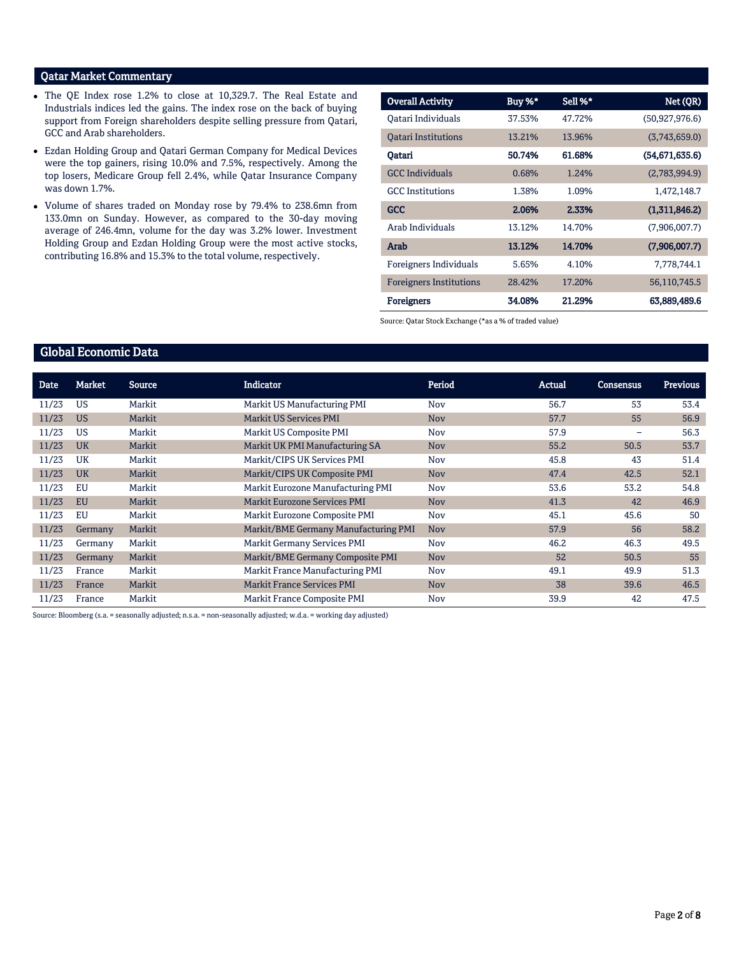# Qatar Market Commentary

- The QE Index rose 1.2% to close at 10,329.7. The Real Estate and Industrials indices led the gains. The index rose on the back of buying support from Foreign shareholders despite selling pressure from Qatari, GCC and Arab shareholders.
- Ezdan Holding Group and Qatari German Company for Medical Devices were the top gainers, rising 10.0% and 7.5%, respectively. Among the top losers, Medicare Group fell 2.4%, while Qatar Insurance Company was down 1.7%.
- Volume of shares traded on Monday rose by 79.4% to 238.6mn from 133.0mn on Sunday. However, as compared to the 30-day moving average of 246.4mn, volume for the day was 3.2% lower. Investment Holding Group and Ezdan Holding Group were the most active stocks, contributing 16.8% and 15.3% to the total volume, respectively.

| <b>Overall Activity</b>        | Buy %* | Sell %* | Net (QR)       |
|--------------------------------|--------|---------|----------------|
| Oatari Individuals             | 37.53% | 47.72%  | (50,927,976.6) |
| <b>Oatari Institutions</b>     | 13.21% | 13.96%  | (3,743,659.0)  |
| Qatari                         | 50.74% | 61.68%  | (54,671,635.6) |
| <b>GCC</b> Individuals         | 0.68%  | 1.24%   | (2,783,994.9)  |
| <b>GCC</b> Institutions        | 1.38%  | 1.09%   | 1,472,148.7    |
| <b>GCC</b>                     | 2.06%  | 2.33%   | (1,311,846.2)  |
| Arab Individuals               | 13.12% | 14.70%  | (7,906,007.7)  |
| Arab                           | 13.12% | 14.70%  | (7,906,007.7)  |
| Foreigners Individuals         | 5.65%  | 4.10%   | 7,778,744.1    |
| <b>Foreigners Institutions</b> | 28.42% | 17.20%  | 56,110,745.5   |
| <b>Foreigners</b>              | 34.08% | 21.29%  | 63,889,489.6   |

Source: Qatar Stock Exchange (\*as a % of traded value)

### Global Economic Data

| Date  | Market    | <b>Source</b> | <b>Indicator</b>                     | Period     | Actual | <b>Consensus</b> | <b>Previous</b> |
|-------|-----------|---------------|--------------------------------------|------------|--------|------------------|-----------------|
| 11/23 | US        | Markit        | Markit US Manufacturing PMI          | Nov        | 56.7   | 53               | 53.4            |
| 11/23 | <b>US</b> | Markit        | Markit US Services PMI               | <b>Nov</b> | 57.7   | 55               | 56.9            |
| 11/23 | US        | Markit        | Markit US Composite PMI              | <b>Nov</b> | 57.9   | $\qquad \qquad$  | 56.3            |
| 11/23 | <b>UK</b> | Markit        | Markit UK PMI Manufacturing SA       | <b>Nov</b> | 55.2   | 50.5             | 53.7            |
| 11/23 | UK        | Markit        | Markit/CIPS UK Services PMI          | Nov        | 45.8   | 43               | 51.4            |
| 11/23 | <b>UK</b> | Markit        | Markit/CIPS UK Composite PMI         | <b>Nov</b> | 47.4   | 42.5             | 52.1            |
| 11/23 | EU        | Markit        | Markit Eurozone Manufacturing PMI    | Nov        | 53.6   | 53.2             | 54.8            |
| 11/23 | <b>EU</b> | Markit        | <b>Markit Eurozone Services PMI</b>  | <b>Nov</b> | 41.3   | 42               | 46.9            |
| 11/23 | EU        | Markit        | Markit Eurozone Composite PMI        | Nov        | 45.1   | 45.6             | 50              |
| 11/23 | Germany   | Markit        | Markit/BME Germany Manufacturing PMI | <b>Nov</b> | 57.9   | 56               | 58.2            |
| 11/23 | Germany   | Markit        | Markit Germany Services PMI          | Nov        | 46.2   | 46.3             | 49.5            |
| 11/23 | Germany   | Markit        | Markit/BME Germany Composite PMI     | <b>Nov</b> | 52     | 50.5             | 55              |
| 11/23 | France    | Markit        | Markit France Manufacturing PMI      | Nov        | 49.1   | 49.9             | 51.3            |
| 11/23 | France    | Markit        | <b>Markit France Services PMI</b>    | <b>Nov</b> | 38     | 39.6             | 46.5            |
| 11/23 | France    | Markit        | Markit France Composite PMI          | Nov        | 39.9   | 42               | 47.5            |

Source: Bloomberg (s.a. = seasonally adjusted; n.s.a. = non-seasonally adjusted; w.d.a. = working day adjusted)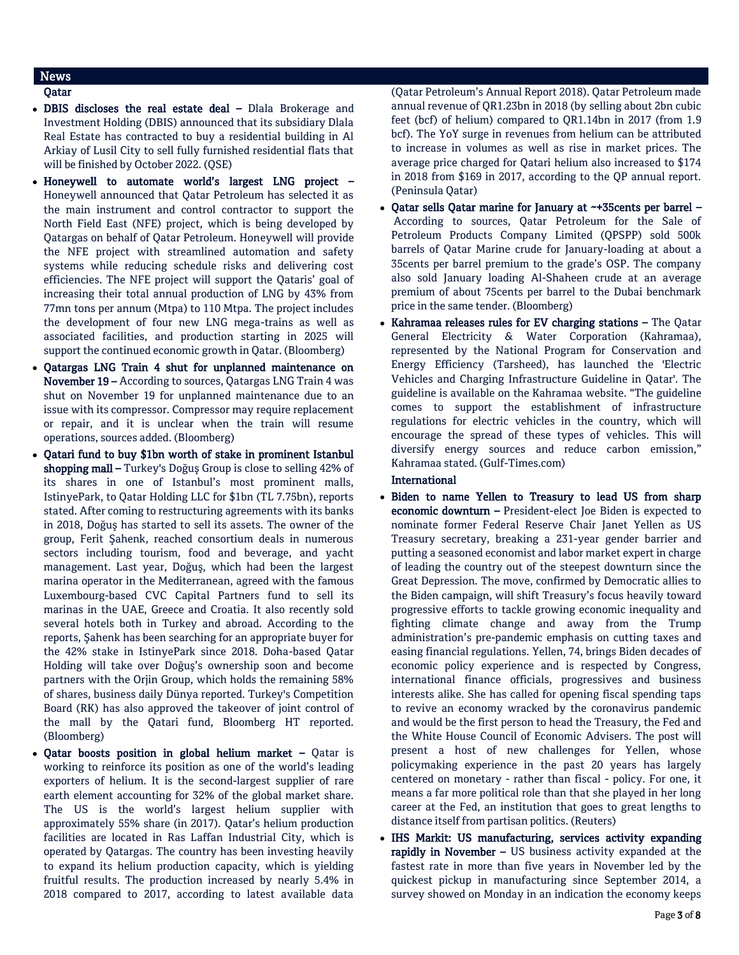# News

## Qatar

- DBIS discloses the real estate deal Dlala Brokerage and Investment Holding (DBIS) announced that its subsidiary Dlala Real Estate has contracted to buy a residential building in Al Arkiay of Lusil City to sell fully furnished residential flats that will be finished by October 2022. (QSE)
- Honeywell to automate world's largest LNG project Honeywell announced that Qatar Petroleum has selected it as the main instrument and control contractor to support the North Field East (NFE) project, which is being developed by Qatargas on behalf of Qatar Petroleum. Honeywell will provide the NFE project with streamlined automation and safety systems while reducing schedule risks and delivering cost efficiencies. The NFE project will support the Qataris' goal of increasing their total annual production of LNG by 43% from 77mn tons per annum (Mtpa) to 110 Mtpa. The project includes the development of four new LNG mega-trains as well as associated facilities, and production starting in 2025 will support the continued economic growth in Qatar. (Bloomberg)
- Qatargas LNG Train 4 shut for unplanned maintenance on November 19 – According to sources, Qatargas LNG Train 4 was shut on November 19 for unplanned maintenance due to an issue with its compressor. Compressor may require replacement or repair, and it is unclear when the train will resume operations, sources added. (Bloomberg)
- Qatari fund to buy \$1bn worth of stake in prominent Istanbul shopping mall - Turkey's Doğuş Group is close to selling 42% of its shares in one of Istanbul's most prominent malls, IstinyePark, to Qatar Holding LLC for \$1bn (TL 7.75bn), reports stated. After coming to restructuring agreements with its banks in 2018, Doğuş has started to sell its assets. The owner of the group, Ferit Şahenk, reached consortium deals in numerous sectors including tourism, food and beverage, and yacht management. Last year, Doğuş, which had been the largest marina operator in the Mediterranean, agreed with the famous Luxembourg-based CVC Capital Partners fund to sell its marinas in the UAE, Greece and Croatia. It also recently sold several hotels both in Turkey and abroad. According to the reports, Şahenk has been searching for an appropriate buyer for the 42% stake in IstinyePark since 2018. Doha-based Qatar Holding will take over Doğuş's ownership soon and become partners with the Orjin Group, which holds the remaining 58% of shares, business daily Dünya reported. Turkey's Competition Board (RK) has also approved the takeover of joint control of the mall by the Qatari fund, Bloomberg HT reported. (Bloomberg)
- Qatar boosts position in global helium market Qatar is working to reinforce its position as one of the world's leading exporters of helium. It is the second-largest supplier of rare earth element accounting for 32% of the global market share. The US is the world's largest helium supplier with approximately 55% share (in 2017). Qatar's helium production facilities are located in Ras Laffan Industrial City, which is operated by Qatargas. The country has been investing heavily to expand its helium production capacity, which is yielding fruitful results. The production increased by nearly 5.4% in 2018 compared to 2017, according to latest available data

(Qatar Petroleum's Annual Report 2018). Qatar Petroleum made annual revenue of QR1.23bn in 2018 (by selling about 2bn cubic feet (bcf) of helium) compared to QR1.14bn in 2017 (from 1.9 bcf). The YoY surge in revenues from helium can be attributed to increase in volumes as well as rise in market prices. The average price charged for Qatari helium also increased to \$174 in 2018 from \$169 in 2017, according to the QP annual report. (Peninsula Qatar)

- $\bullet$  Oatar sells Oatar marine for January at ~+35cents per barrel According to sources, Qatar Petroleum for the Sale of Petroleum Products Company Limited (QPSPP) sold 500k barrels of Qatar Marine crude for January-loading at about a 35cents per barrel premium to the grade's OSP. The company also sold January loading Al-Shaheen crude at an average premium of about 75cents per barrel to the Dubai benchmark price in the same tender. (Bloomberg)
- Kahramaa releases rules for EV charging stations The Qatar General Electricity & Water Corporation (Kahramaa), represented by the National Program for Conservation and Energy Efficiency (Tarsheed), has launched the 'Electric Vehicles and Charging Infrastructure Guideline in Qatar'. The guideline is available on the Kahramaa website. "The guideline comes to support the establishment of infrastructure regulations for electric vehicles in the country, which will encourage the spread of these types of vehicles. This will diversify energy sources and reduce carbon emission," Kahramaa stated. (Gulf-Times.com)

International

- Biden to name Yellen to Treasury to lead US from sharp economic downturn – President-elect Joe Biden is expected to nominate former Federal Reserve Chair Janet Yellen as US Treasury secretary, breaking a 231-year gender barrier and putting a seasoned economist and labor market expert in charge of leading the country out of the steepest downturn since the Great Depression. The move, confirmed by Democratic allies to the Biden campaign, will shift Treasury's focus heavily toward progressive efforts to tackle growing economic inequality and fighting climate change and away from the Trump administration's pre-pandemic emphasis on cutting taxes and easing financial regulations. Yellen, 74, brings Biden decades of economic policy experience and is respected by Congress, international finance officials, progressives and business interests alike. She has called for opening fiscal spending taps to revive an economy wracked by the coronavirus pandemic and would be the first person to head the Treasury, the Fed and the White House Council of Economic Advisers. The post will present a host of new challenges for Yellen, whose policymaking experience in the past 20 years has largely centered on monetary - rather than fiscal - policy. For one, it means a far more political role than that she played in her long career at the Fed, an institution that goes to great lengths to distance itself from partisan politics. (Reuters)
- IHS Markit: US manufacturing, services activity expanding rapidly in November - US business activity expanded at the fastest rate in more than five years in November led by the quickest pickup in manufacturing since September 2014, a survey showed on Monday in an indication the economy keeps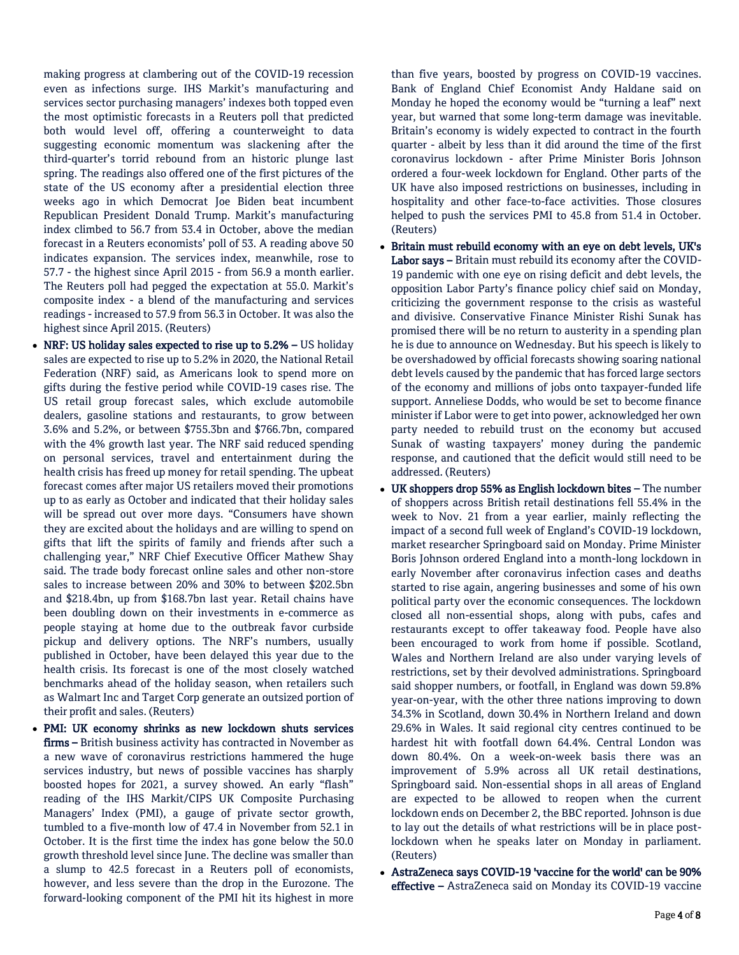making progress at clambering out of the COVID-19 recession even as infections surge. IHS Markit's manufacturing and services sector purchasing managers' indexes both topped even the most optimistic forecasts in a Reuters poll that predicted both would level off, offering a counterweight to data suggesting economic momentum was slackening after the third-quarter's torrid rebound from an historic plunge last spring. The readings also offered one of the first pictures of the state of the US economy after a presidential election three weeks ago in which Democrat Joe Biden beat incumbent Republican President Donald Trump. Markit's manufacturing index climbed to 56.7 from 53.4 in October, above the median forecast in a Reuters economists' poll of 53. A reading above 50 indicates expansion. The services index, meanwhile, rose to 57.7 - the highest since April 2015 - from 56.9 a month earlier. The Reuters poll had pegged the expectation at 55.0. Markit's composite index - a blend of the manufacturing and services readings - increased to 57.9 from 56.3 in October. It was also the highest since April 2015. (Reuters)

- NRF: US holiday sales expected to rise up to 5.2% US holiday sales are expected to rise up to 5.2% in 2020, the National Retail Federation (NRF) said, as Americans look to spend more on gifts during the festive period while COVID-19 cases rise. The US retail group forecast sales, which exclude automobile dealers, gasoline stations and restaurants, to grow between 3.6% and 5.2%, or between \$755.3bn and \$766.7bn, compared with the 4% growth last year. The NRF said reduced spending on personal services, travel and entertainment during the health crisis has freed up money for retail spending. The upbeat forecast comes after major US retailers moved their promotions up to as early as October and indicated that their holiday sales will be spread out over more days. "Consumers have shown they are excited about the holidays and are willing to spend on gifts that lift the spirits of family and friends after such a challenging year," NRF Chief Executive Officer Mathew Shay said. The trade body forecast online sales and other non-store sales to increase between 20% and 30% to between \$202.5bn and \$218.4bn, up from \$168.7bn last year. Retail chains have been doubling down on their investments in e-commerce as people staying at home due to the outbreak favor curbside pickup and delivery options. The NRF's numbers, usually published in October, have been delayed this year due to the health crisis. Its forecast is one of the most closely watched benchmarks ahead of the holiday season, when retailers such as Walmart Inc and Target Corp generate an outsized portion of their profit and sales. (Reuters)
- PMI: UK economy shrinks as new lockdown shuts services firms – British business activity has contracted in November as a new wave of coronavirus restrictions hammered the huge services industry, but news of possible vaccines has sharply boosted hopes for 2021, a survey showed. An early "flash" reading of the IHS Markit/CIPS UK Composite Purchasing Managers' Index (PMI), a gauge of private sector growth, tumbled to a five-month low of 47.4 in November from 52.1 in October. It is the first time the index has gone below the 50.0 growth threshold level since June. The decline was smaller than a slump to 42.5 forecast in a Reuters poll of economists, however, and less severe than the drop in the Eurozone. The forward-looking component of the PMI hit its highest in more

than five years, boosted by progress on COVID-19 vaccines. Bank of England Chief Economist Andy Haldane said on Monday he hoped the economy would be "turning a leaf" next year, but warned that some long-term damage was inevitable. Britain's economy is widely expected to contract in the fourth quarter - albeit by less than it did around the time of the first coronavirus lockdown - after Prime Minister Boris Johnson ordered a four-week lockdown for England. Other parts of the UK have also imposed restrictions on businesses, including in hospitality and other face-to-face activities. Those closures helped to push the services PMI to 45.8 from 51.4 in October. (Reuters)

- Britain must rebuild economy with an eye on debt levels, UK's Labor says – Britain must rebuild its economy after the COVID-19 pandemic with one eye on rising deficit and debt levels, the opposition Labor Party's finance policy chief said on Monday, criticizing the government response to the crisis as wasteful and divisive. Conservative Finance Minister Rishi Sunak has promised there will be no return to austerity in a spending plan he is due to announce on Wednesday. But his speech is likely to be overshadowed by official forecasts showing soaring national debt levels caused by the pandemic that has forced large sectors of the economy and millions of jobs onto taxpayer-funded life support. Anneliese Dodds, who would be set to become finance minister if Labor were to get into power, acknowledged her own party needed to rebuild trust on the economy but accused Sunak of wasting taxpayers' money during the pandemic response, and cautioned that the deficit would still need to be addressed. (Reuters)
- UK shoppers drop 55% as English lockdown bites The number of shoppers across British retail destinations fell 55.4% in the week to Nov. 21 from a year earlier, mainly reflecting the impact of a second full week of England's COVID-19 lockdown, market researcher Springboard said on Monday. Prime Minister Boris Johnson ordered England into a month-long lockdown in early November after coronavirus infection cases and deaths started to rise again, angering businesses and some of his own political party over the economic consequences. The lockdown closed all non-essential shops, along with pubs, cafes and restaurants except to offer takeaway food. People have also been encouraged to work from home if possible. Scotland, Wales and Northern Ireland are also under varying levels of restrictions, set by their devolved administrations. Springboard said shopper numbers, or footfall, in England was down 59.8% year-on-year, with the other three nations improving to down 34.3% in Scotland, down 30.4% in Northern Ireland and down 29.6% in Wales. It said regional city centres continued to be hardest hit with footfall down 64.4%. Central London was down 80.4%. On a week-on-week basis there was an improvement of 5.9% across all UK retail destinations, Springboard said. Non-essential shops in all areas of England are expected to be allowed to reopen when the current lockdown ends on December 2, the BBC reported. Johnson is due to lay out the details of what restrictions will be in place postlockdown when he speaks later on Monday in parliament. (Reuters)
- AstraZeneca says COVID-19 'vaccine for the world' can be 90% effective – AstraZeneca said on Monday its COVID-19 vaccine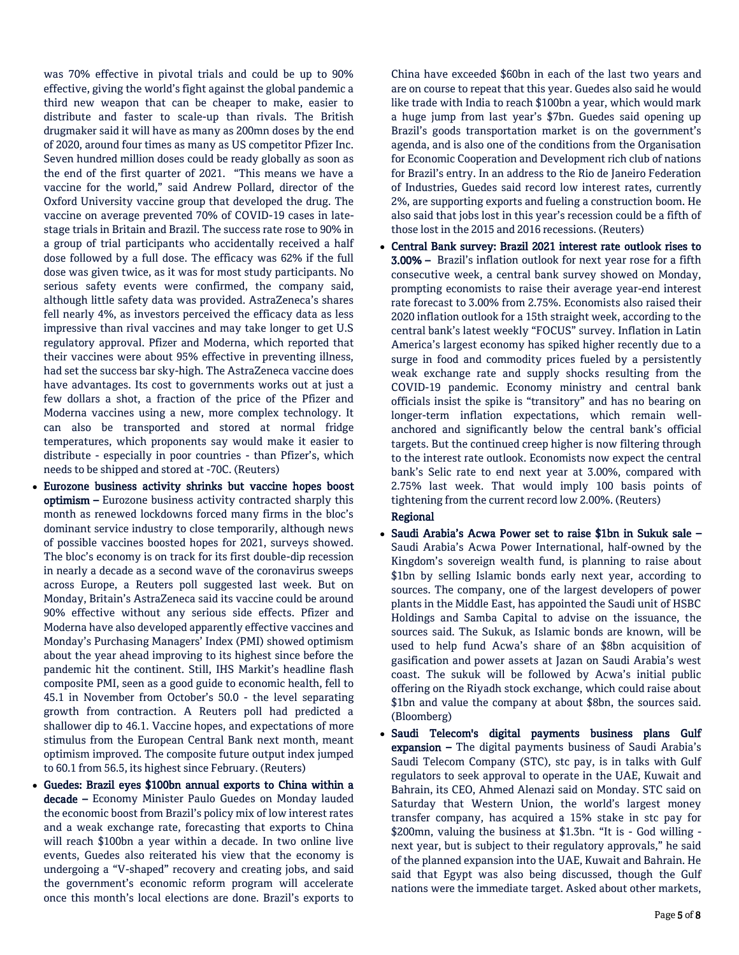was 70% effective in pivotal trials and could be up to 90% effective, giving the world's fight against the global pandemic a third new weapon that can be cheaper to make, easier to distribute and faster to scale-up than rivals. The British drugmaker said it will have as many as 200mn doses by the end of 2020, around four times as many as US competitor Pfizer Inc. Seven hundred million doses could be ready globally as soon as the end of the first quarter of 2021. "This means we have a vaccine for the world," said Andrew Pollard, director of the Oxford University vaccine group that developed the drug. The vaccine on average prevented 70% of COVID-19 cases in latestage trials in Britain and Brazil. The success rate rose to 90% in a group of trial participants who accidentally received a half dose followed by a full dose. The efficacy was 62% if the full dose was given twice, as it was for most study participants. No serious safety events were confirmed, the company said, although little safety data was provided. AstraZeneca's shares fell nearly 4%, as investors perceived the efficacy data as less impressive than rival vaccines and may take longer to get U.S regulatory approval. Pfizer and Moderna, which reported that their vaccines were about 95% effective in preventing illness, had set the success bar sky-high. The AstraZeneca vaccine does have advantages. Its cost to governments works out at just a few dollars a shot, a fraction of the price of the Pfizer and Moderna vaccines using a new, more complex technology. It can also be transported and stored at normal fridge temperatures, which proponents say would make it easier to distribute - especially in poor countries - than Pfizer's, which needs to be shipped and stored at -70C. (Reuters)

- Eurozone business activity shrinks but vaccine hopes boost optimism – Eurozone business activity contracted sharply this month as renewed lockdowns forced many firms in the bloc's dominant service industry to close temporarily, although news of possible vaccines boosted hopes for 2021, surveys showed. The bloc's economy is on track for its first double-dip recession in nearly a decade as a second wave of the coronavirus sweeps across Europe, a Reuters poll suggested last week. But on Monday, Britain's AstraZeneca said its vaccine could be around 90% effective without any serious side effects. Pfizer and Moderna have also developed apparently effective vaccines and Monday's Purchasing Managers' Index (PMI) showed optimism about the year ahead improving to its highest since before the pandemic hit the continent. Still, IHS Markit's headline flash composite PMI, seen as a good guide to economic health, fell to 45.1 in November from October's 50.0 - the level separating growth from contraction. A Reuters poll had predicted a shallower dip to 46.1. Vaccine hopes, and expectations of more stimulus from the European Central Bank next month, meant optimism improved. The composite future output index jumped to 60.1 from 56.5, its highest since February. (Reuters)
- Guedes: Brazil eyes \$100bn annual exports to China within a decade – Economy Minister Paulo Guedes on Monday lauded the economic boost from Brazil's policy mix of low interest rates and a weak exchange rate, forecasting that exports to China will reach \$100bn a year within a decade. In two online live events, Guedes also reiterated his view that the economy is undergoing a "V-shaped" recovery and creating jobs, and said the government's economic reform program will accelerate once this month's local elections are done. Brazil's exports to

China have exceeded \$60bn in each of the last two years and are on course to repeat that this year. Guedes also said he would like trade with India to reach \$100bn a year, which would mark a huge jump from last year's \$7bn. Guedes said opening up Brazil's goods transportation market is on the government's agenda, and is also one of the conditions from the Organisation for Economic Cooperation and Development rich club of nations for Brazil's entry. In an address to the Rio de Janeiro Federation of Industries, Guedes said record low interest rates, currently 2%, are supporting exports and fueling a construction boom. He also said that jobs lost in this year's recession could be a fifth of those lost in the 2015 and 2016 recessions. (Reuters)

 Central Bank survey: Brazil 2021 interest rate outlook rises to 3.00% – Brazil's inflation outlook for next year rose for a fifth consecutive week, a central bank survey showed on Monday, prompting economists to raise their average year-end interest rate forecast to 3.00% from 2.75%. Economists also raised their 2020 inflation outlook for a 15th straight week, according to the central bank's latest weekly "FOCUS" survey. Inflation in Latin America's largest economy has spiked higher recently due to a surge in food and commodity prices fueled by a persistently weak exchange rate and supply shocks resulting from the COVID-19 pandemic. Economy ministry and central bank officials insist the spike is "transitory" and has no bearing on longer-term inflation expectations, which remain wellanchored and significantly below the central bank's official targets. But the continued creep higher is now filtering through to the interest rate outlook. Economists now expect the central bank's Selic rate to end next year at 3.00%, compared with 2.75% last week. That would imply 100 basis points of tightening from the current record low 2.00%. (Reuters)

# Regional

- Saudi Arabia's Acwa Power set to raise \$1bn in Sukuk sale Saudi Arabia's Acwa Power International, half-owned by the Kingdom's sovereign wealth fund, is planning to raise about \$1bn by selling Islamic bonds early next year, according to sources. The company, one of the largest developers of power plants in the Middle East, has appointed the Saudi unit of HSBC Holdings and Samba Capital to advise on the issuance, the sources said. The Sukuk, as Islamic bonds are known, will be used to help fund Acwa's share of an \$8bn acquisition of gasification and power assets at Jazan on Saudi Arabia's west coast. The sukuk will be followed by Acwa's initial public offering on the Riyadh stock exchange, which could raise about \$1bn and value the company at about \$8bn, the sources said. (Bloomberg)
- Saudi Telecom's digital payments business plans Gulf expansion – The digital payments business of Saudi Arabia's Saudi Telecom Company (STC), stc pay, is in talks with Gulf regulators to seek approval to operate in the UAE, Kuwait and Bahrain, its CEO, Ahmed Alenazi said on Monday. STC said on Saturday that Western Union, the world's largest money transfer company, has acquired a 15% stake in stc pay for \$200mn, valuing the business at \$1.3bn. "It is - God willing next year, but is subject to their regulatory approvals," he said of the planned expansion into the UAE, Kuwait and Bahrain. He said that Egypt was also being discussed, though the Gulf nations were the immediate target. Asked about other markets,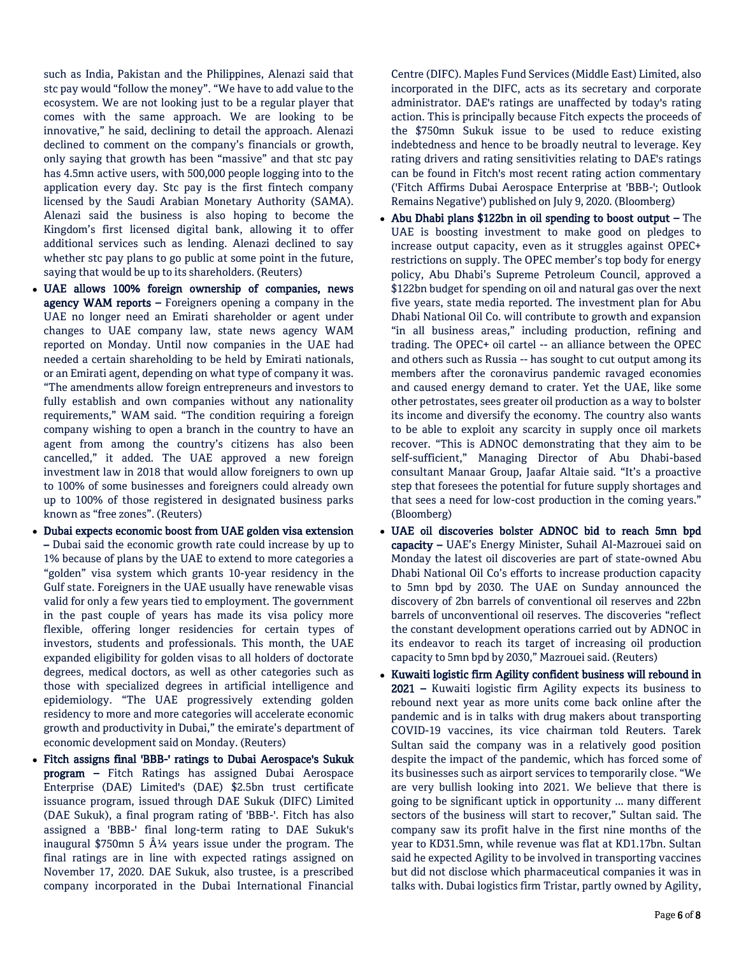such as India, Pakistan and the Philippines, Alenazi said that stc pay would "follow the money". "We have to add value to the ecosystem. We are not looking just to be a regular player that comes with the same approach. We are looking to be innovative," he said, declining to detail the approach. Alenazi declined to comment on the company's financials or growth, only saying that growth has been "massive" and that stc pay has 4.5mn active users, with 500,000 people logging into to the application every day. Stc pay is the first fintech company licensed by the Saudi Arabian Monetary Authority (SAMA). Alenazi said the business is also hoping to become the Kingdom's first licensed digital bank, allowing it to offer additional services such as lending. Alenazi declined to say whether stc pay plans to go public at some point in the future, saying that would be up to its shareholders. (Reuters)

- UAE allows 100% foreign ownership of companies, news agency WAM reports  $-$  Foreigners opening a company in the UAE no longer need an Emirati shareholder or agent under changes to UAE company law, state news agency WAM reported on Monday. Until now companies in the UAE had needed a certain shareholding to be held by Emirati nationals, or an Emirati agent, depending on what type of company it was. "The amendments allow foreign entrepreneurs and investors to fully establish and own companies without any nationality requirements," WAM said. "The condition requiring a foreign company wishing to open a branch in the country to have an agent from among the country's citizens has also been cancelled," it added. The UAE approved a new foreign investment law in 2018 that would allow foreigners to own up to 100% of some businesses and foreigners could already own up to 100% of those registered in designated business parks known as "free zones". (Reuters)
- Dubai expects economic boost from UAE golden visa extension – Dubai said the economic growth rate could increase by up to 1% because of plans by the UAE to extend to more categories a "golden" visa system which grants 10-year residency in the Gulf state. Foreigners in the UAE usually have renewable visas valid for only a few years tied to employment. The government in the past couple of years has made its visa policy more flexible, offering longer residencies for certain types of investors, students and professionals. This month, the UAE expanded eligibility for golden visas to all holders of doctorate degrees, medical doctors, as well as other categories such as those with specialized degrees in artificial intelligence and epidemiology. "The UAE progressively extending golden residency to more and more categories will accelerate economic growth and productivity in Dubai," the emirate's department of economic development said on Monday. (Reuters)
- Fitch assigns final 'BBB-' ratings to Dubai Aerospace's Sukuk program – Fitch Ratings has assigned Dubai Aerospace Enterprise (DAE) Limited's (DAE) \$2.5bn trust certificate issuance program, issued through DAE Sukuk (DIFC) Limited (DAE Sukuk), a final program rating of 'BBB-'. Fitch has also assigned a 'BBB-' final long-term rating to DAE Sukuk's inaugural \$750mn 5  $\hat{A}$ <sup>1</sup>/4 years issue under the program. The final ratings are in line with expected ratings assigned on November 17, 2020. DAE Sukuk, also trustee, is a prescribed company incorporated in the Dubai International Financial

Centre (DIFC). Maples Fund Services (Middle East) Limited, also incorporated in the DIFC, acts as its secretary and corporate administrator. DAE's ratings are unaffected by today's rating action. This is principally because Fitch expects the proceeds of the \$750mn Sukuk issue to be used to reduce existing indebtedness and hence to be broadly neutral to leverage. Key rating drivers and rating sensitivities relating to DAE's ratings can be found in Fitch's most recent rating action commentary ('Fitch Affirms Dubai Aerospace Enterprise at 'BBB-'; Outlook Remains Negative') published on July 9, 2020. (Bloomberg)

- Abu Dhabi plans \$122bn in oil spending to boost output The UAE is boosting investment to make good on pledges to increase output capacity, even as it struggles against OPEC+ restrictions on supply. The OPEC member's top body for energy policy, Abu Dhabi's Supreme Petroleum Council, approved a \$122bn budget for spending on oil and natural gas over the next five years, state media reported. The investment plan for Abu Dhabi National Oil Co. will contribute to growth and expansion "in all business areas," including production, refining and trading. The OPEC+ oil cartel -- an alliance between the OPEC and others such as Russia -- has sought to cut output among its members after the coronavirus pandemic ravaged economies and caused energy demand to crater. Yet the UAE, like some other petrostates, sees greater oil production as a way to bolster its income and diversify the economy. The country also wants to be able to exploit any scarcity in supply once oil markets recover. "This is ADNOC demonstrating that they aim to be self-sufficient," Managing Director of Abu Dhabi-based consultant Manaar Group, Jaafar Altaie said. "It's a proactive step that foresees the potential for future supply shortages and that sees a need for low-cost production in the coming years." (Bloomberg)
- UAE oil discoveries bolster ADNOC bid to reach 5mn bpd capacity – UAE's Energy Minister, Suhail Al-Mazrouei said on Monday the latest oil discoveries are part of state-owned Abu Dhabi National Oil Co's efforts to increase production capacity to 5mn bpd by 2030. The UAE on Sunday announced the discovery of 2bn barrels of conventional oil reserves and 22bn barrels of unconventional oil reserves. The discoveries "reflect the constant development operations carried out by ADNOC in its endeavor to reach its target of increasing oil production capacity to 5mn bpd by 2030," Mazrouei said. (Reuters)
- Kuwaiti logistic firm Agility confident business will rebound in 2021 – Kuwaiti logistic firm Agility expects its business to rebound next year as more units come back online after the pandemic and is in talks with drug makers about transporting COVID-19 vaccines, its vice chairman told Reuters. Tarek Sultan said the company was in a relatively good position despite the impact of the pandemic, which has forced some of its businesses such as airport services to temporarily close. "We are very bullish looking into 2021. We believe that there is going to be significant uptick in opportunity ... many different sectors of the business will start to recover," Sultan said. The company saw its profit halve in the first nine months of the year to KD31.5mn, while revenue was flat at KD1.17bn. Sultan said he expected Agility to be involved in transporting vaccines but did not disclose which pharmaceutical companies it was in talks with. Dubai logistics firm Tristar, partly owned by Agility,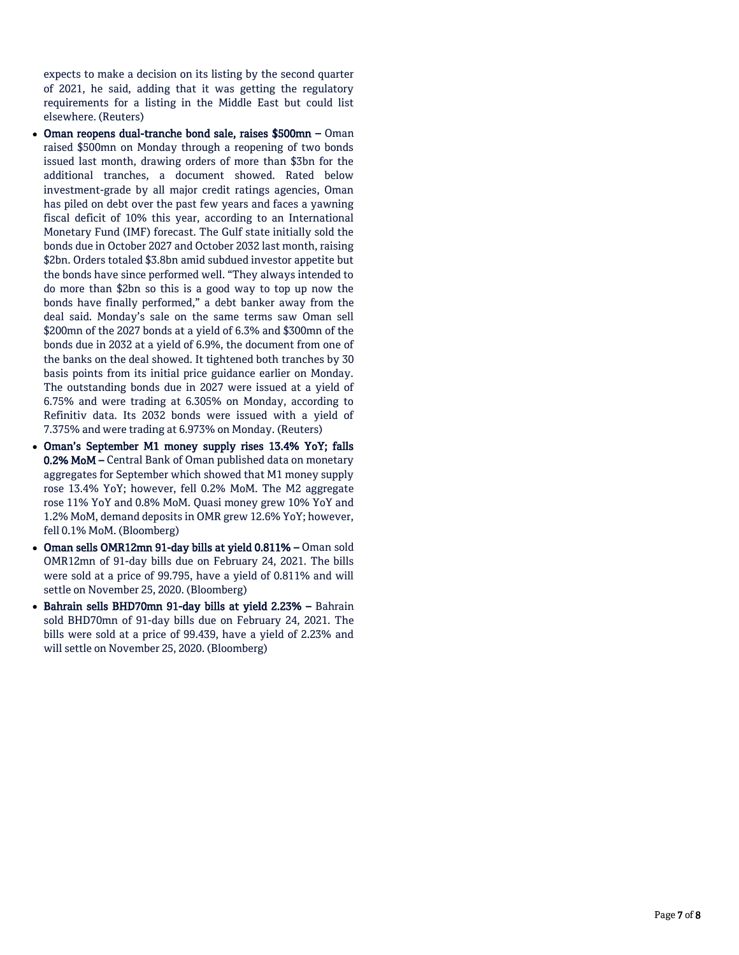expects to make a decision on its listing by the second quarter of 2021, he said, adding that it was getting the regulatory requirements for a listing in the Middle East but could list elsewhere. (Reuters)

- Oman reopens dual-tranche bond sale, raises \$500mn Oman raised \$500mn on Monday through a reopening of two bonds issued last month, drawing orders of more than \$3bn for the additional tranches, a document showed. Rated below investment-grade by all major credit ratings agencies, Oman has piled on debt over the past few years and faces a yawning fiscal deficit of 10% this year, according to an International Monetary Fund (IMF) forecast. The Gulf state initially sold the bonds due in October 2027 and October 2032 last month, raising \$2bn. Orders totaled \$3.8bn amid subdued investor appetite but the bonds have since performed well. "They always intended to do more than \$2bn so this is a good way to top up now the bonds have finally performed," a debt banker away from the deal said. Monday's sale on the same terms saw Oman sell \$200mn of the 2027 bonds at a yield of 6.3% and \$300mn of the bonds due in 2032 at a yield of 6.9%, the document from one of the banks on the deal showed. It tightened both tranches by 30 basis points from its initial price guidance earlier on Monday. The outstanding bonds due in 2027 were issued at a yield of 6.75% and were trading at 6.305% on Monday, according to Refinitiv data. Its 2032 bonds were issued with a yield of 7.375% and were trading at 6.973% on Monday. (Reuters)
- Oman's September M1 money supply rises 13.4% YoY; falls 0.2% MoM – Central Bank of Oman published data on monetary aggregates for September which showed that M1 money supply rose 13.4% YoY; however, fell 0.2% MoM. The M2 aggregate rose 11% YoY and 0.8% MoM. Quasi money grew 10% YoY and 1.2% MoM, demand deposits in OMR grew 12.6% YoY; however, fell 0.1% MoM. (Bloomberg)
- Oman sells OMR12mn 91-day bills at yield 0.811% Oman sold OMR12mn of 91-day bills due on February 24, 2021. The bills were sold at a price of 99.795, have a yield of 0.811% and will settle on November 25, 2020. (Bloomberg)
- Bahrain sells BHD70mn 91-day bills at yield 2.23% Bahrain sold BHD70mn of 91-day bills due on February 24, 2021. The bills were sold at a price of 99.439, have a yield of 2.23% and will settle on November 25, 2020. (Bloomberg)